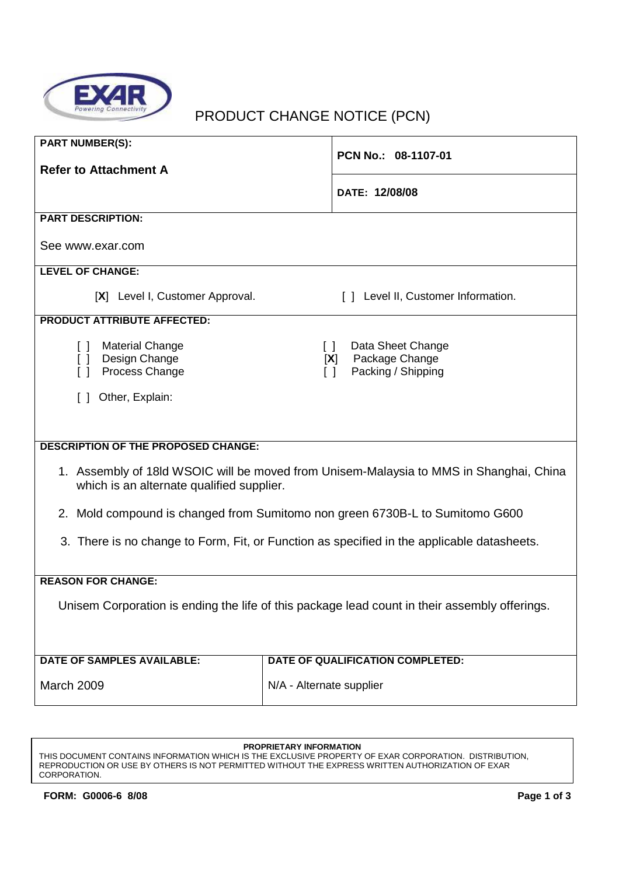

# PRODUCT CHANGE NOTICE (PCN)

| <b>PART NUMBER(S):</b><br><b>Refer to Attachment A</b>                                                                              | PCN No.: 08-1107-01                                                                                              |  |
|-------------------------------------------------------------------------------------------------------------------------------------|------------------------------------------------------------------------------------------------------------------|--|
|                                                                                                                                     |                                                                                                                  |  |
|                                                                                                                                     | DATE: 12/08/08                                                                                                   |  |
| <b>PART DESCRIPTION:</b>                                                                                                            |                                                                                                                  |  |
| See www.exar.com                                                                                                                    |                                                                                                                  |  |
| <b>LEVEL OF CHANGE:</b>                                                                                                             |                                                                                                                  |  |
| [X] Level I, Customer Approval.                                                                                                     | [] Level II, Customer Information.                                                                               |  |
| <b>PRODUCT ATTRIBUTE AFFECTED:</b>                                                                                                  |                                                                                                                  |  |
| <b>Material Change</b><br>[ ] Design Change<br>Process Change<br>ſΙ                                                                 | Data Sheet Change<br>$\begin{array}{c} \square \end{array}$<br>Package Change<br>[X]<br>Packing / Shipping<br>ΙI |  |
| Other, Explain:                                                                                                                     |                                                                                                                  |  |
|                                                                                                                                     |                                                                                                                  |  |
| <b>DESCRIPTION OF THE PROPOSED CHANGE:</b>                                                                                          |                                                                                                                  |  |
| 1. Assembly of 18ld WSOIC will be moved from Unisem-Malaysia to MMS in Shanghai, China<br>which is an alternate qualified supplier. |                                                                                                                  |  |
| 2. Mold compound is changed from Sumitomo non green 6730B-L to Sumitomo G600                                                        |                                                                                                                  |  |
| 3. There is no change to Form, Fit, or Function as specified in the applicable datasheets.                                          |                                                                                                                  |  |
| <b>REASON FOR CHANGE:</b>                                                                                                           |                                                                                                                  |  |
| Unisem Corporation is ending the life of this package lead count in their assembly offerings.                                       |                                                                                                                  |  |
| <b>DATE OF SAMPLES AVAILABLE:</b>                                                                                                   | DATE OF QUALIFICATION COMPLETED:                                                                                 |  |
| March 2009                                                                                                                          | N/A - Alternate supplier                                                                                         |  |

#### **PROPRIETARY INFORMATION**

THIS DOCUMENT CONTAINS INFORMATION WHICH IS THE EXCLUSIVE PROPERTY OF EXAR CORPORATION. DISTRIBUTION, REPRODUCTION OR USE BY OTHERS IS NOT PERMITTED WITHOUT THE EXPRESS WRITTEN AUTHORIZATION OF EXAR CORPORATION.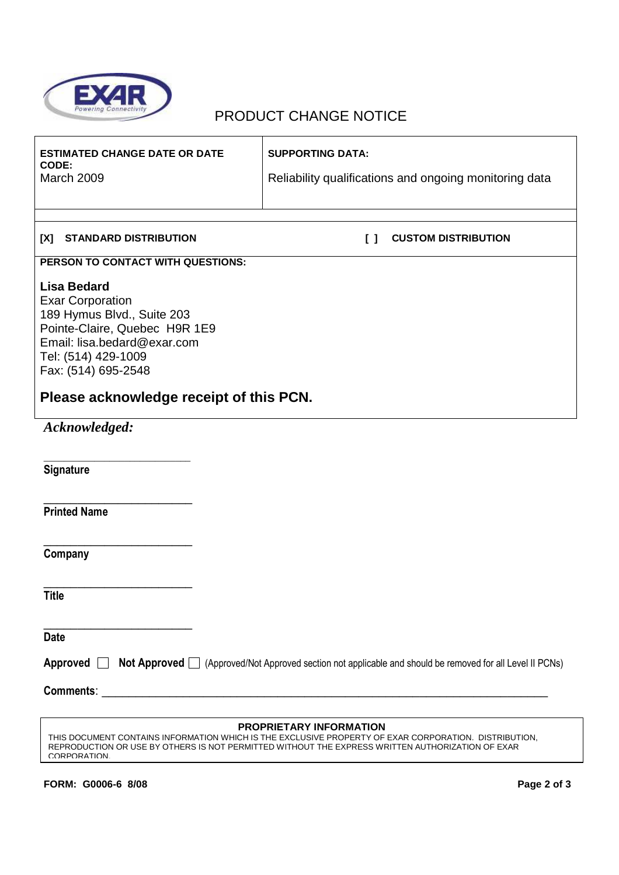

## PRODUCT CHANGE NOTICE

| <b>ESTIMATED CHANGE DATE OR DATE</b><br>CODE:<br><b>March 2009</b>                                                                                                                                                                                                | <b>SUPPORTING DATA:</b><br>Reliability qualifications and ongoing monitoring data |  |
|-------------------------------------------------------------------------------------------------------------------------------------------------------------------------------------------------------------------------------------------------------------------|-----------------------------------------------------------------------------------|--|
| <b>STANDARD DISTRIBUTION</b><br>[X]                                                                                                                                                                                                                               | <b>CUSTOM DISTRIBUTION</b><br>$\begin{smallmatrix}1\end{smallmatrix}$             |  |
| PERSON TO CONTACT WITH QUESTIONS:                                                                                                                                                                                                                                 |                                                                                   |  |
| <b>Lisa Bedard</b><br><b>Exar Corporation</b><br>189 Hymus Blvd., Suite 203<br>Pointe-Claire, Quebec H9R 1E9<br>Email: lisa.bedard@exar.com<br>Tel: (514) 429-1009<br>Fax: (514) 695-2548                                                                         |                                                                                   |  |
| Please acknowledge receipt of this PCN.                                                                                                                                                                                                                           |                                                                                   |  |
| Acknowledged:                                                                                                                                                                                                                                                     |                                                                                   |  |
| Signature                                                                                                                                                                                                                                                         |                                                                                   |  |
| <b>Printed Name</b>                                                                                                                                                                                                                                               |                                                                                   |  |
| Company                                                                                                                                                                                                                                                           |                                                                                   |  |
| <b>Title</b>                                                                                                                                                                                                                                                      |                                                                                   |  |
| <b>Date</b>                                                                                                                                                                                                                                                       |                                                                                   |  |
| Approved <b>Not Approved</b> (Approved/Not Approved section not applicable and should be removed for all Level II PCNs)                                                                                                                                           |                                                                                   |  |
| Comments: <u>comments</u> : comments: comments: comments: comments: comments: comments: comments: comments: comments: comments: comments: comments: comments: comments: comments: comments: comments: comments: comments: comments:                               |                                                                                   |  |
| <b>PROPRIETARY INFORMATION</b><br>THIS DOCUMENT CONTAINS INFORMATION WHICH IS THE EXCLUSIVE PROPERTY OF EXAR CORPORATION. DISTRIBUTION,<br>REPRODUCTION OR USE BY OTHERS IS NOT PERMITTED WITHOUT THE EXPRESS WRITTEN AUTHORIZATION OF EXAR<br><b>CORPORATION</b> |                                                                                   |  |